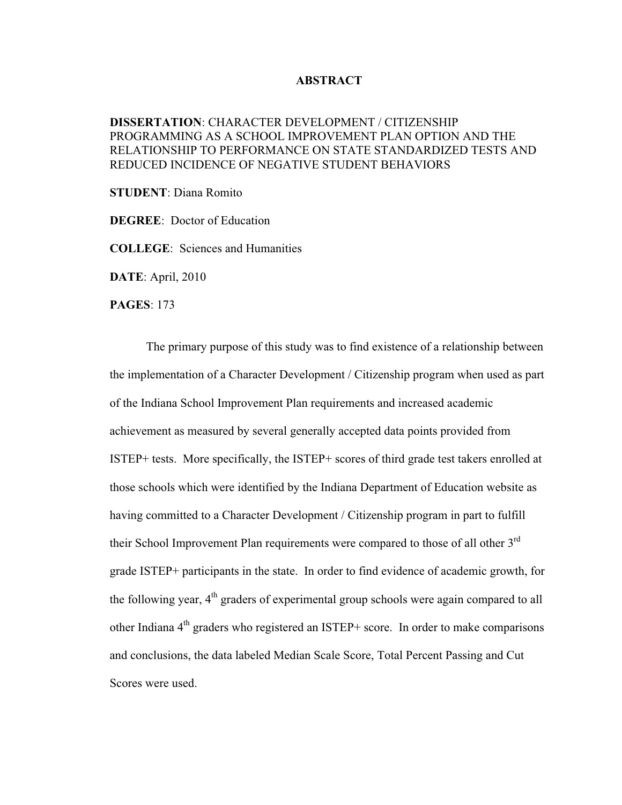## **ABSTRACT**

## **DISSERTATION**: CHARACTER DEVELOPMENT / CITIZENSHIP PROGRAMMING AS A SCHOOL IMPROVEMENT PLAN OPTION AND THE RELATIONSHIP TO PERFORMANCE ON STATE STANDARDIZED TESTS AND REDUCED INCIDENCE OF NEGATIVE STUDENT BEHAVIORS

**STUDENT**: Diana Romito

**DEGREE**: Doctor of Education

**COLLEGE**: Sciences and Humanities

**DATE**: April, 2010

**PAGES**: 173

The primary purpose of this study was to find existence of a relationship between the implementation of a Character Development / Citizenship program when used as part of the Indiana School Improvement Plan requirements and increased academic achievement as measured by several generally accepted data points provided from ISTEP+ tests. More specifically, the ISTEP+ scores of third grade test takers enrolled at those schools which were identified by the Indiana Department of Education website as having committed to a Character Development / Citizenship program in part to fulfill their School Improvement Plan requirements were compared to those of all other 3<sup>rd</sup> grade ISTEP+ participants in the state. In order to find evidence of academic growth, for the following year,  $4<sup>th</sup>$  graders of experimental group schools were again compared to all other Indiana  $4<sup>th</sup>$  graders who registered an ISTEP+ score. In order to make comparisons and conclusions, the data labeled Median Scale Score, Total Percent Passing and Cut Scores were used.